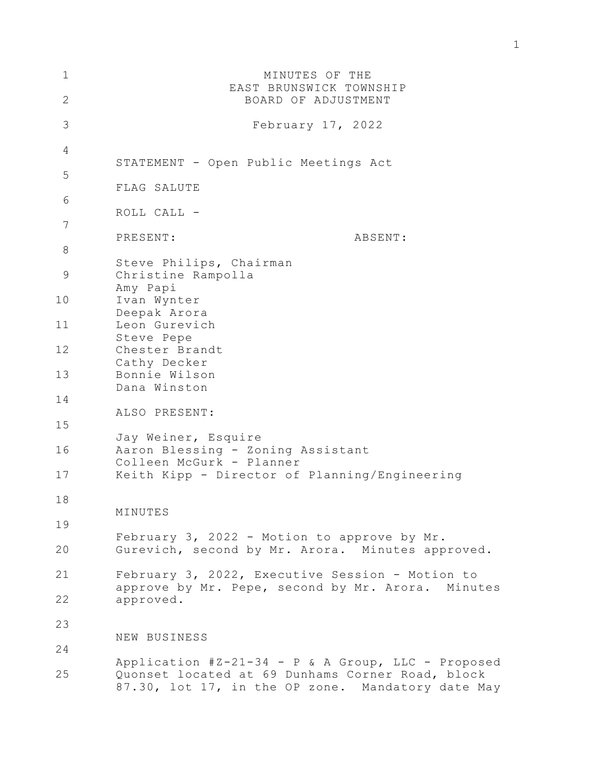| 1             | MINUTES OF THE                                                                                                                                              |
|---------------|-------------------------------------------------------------------------------------------------------------------------------------------------------------|
| 2             | EAST BRUNSWICK TOWNSHIP<br>BOARD OF ADJUSTMENT                                                                                                              |
| 3             | February 17, 2022                                                                                                                                           |
| 4             |                                                                                                                                                             |
| 5             | STATEMENT - Open Public Meetings Act                                                                                                                        |
| 6             | FLAG SALUTE                                                                                                                                                 |
| 7             | ROLL CALL -                                                                                                                                                 |
| $8\,$         | PRESENT:<br>ABSENT:                                                                                                                                         |
|               | Steve Philips, Chairman                                                                                                                                     |
| $\mathcal{G}$ | Christine Rampolla<br>Amy Papi                                                                                                                              |
| 10            | Ivan Wynter<br>Deepak Arora                                                                                                                                 |
| 11            | Leon Gurevich                                                                                                                                               |
| 12            | Steve Pepe<br>Chester Brandt                                                                                                                                |
| 13            | Cathy Decker<br>Bonnie Wilson                                                                                                                               |
| 14            | Dana Winston                                                                                                                                                |
|               | ALSO PRESENT:                                                                                                                                               |
| 15            | Jay Weiner, Esquire                                                                                                                                         |
| 16            | Aaron Blessing - Zoning Assistant<br>Colleen McGurk - Planner                                                                                               |
| 17            | Keith Kipp - Director of Planning/Engineering                                                                                                               |
| 18            | MINUTES                                                                                                                                                     |
| 19            |                                                                                                                                                             |
| 20            | February 3, 2022 - Motion to approve by Mr.<br>Gurevich, second by Mr. Arora. Minutes approved.                                                             |
| 21            | February 3, 2022, Executive Session - Motion to<br>approve by Mr. Pepe, second by Mr. Arora. Minutes                                                        |
| 22            | approved.                                                                                                                                                   |
| 23            |                                                                                                                                                             |
| 24            | NEW BUSINESS                                                                                                                                                |
| 25            | Application #Z-21-34 - P & A Group, LLC - Proposed<br>Quonset located at 69 Dunhams Corner Road, block<br>87.30, lot 17, in the OP zone. Mandatory date May |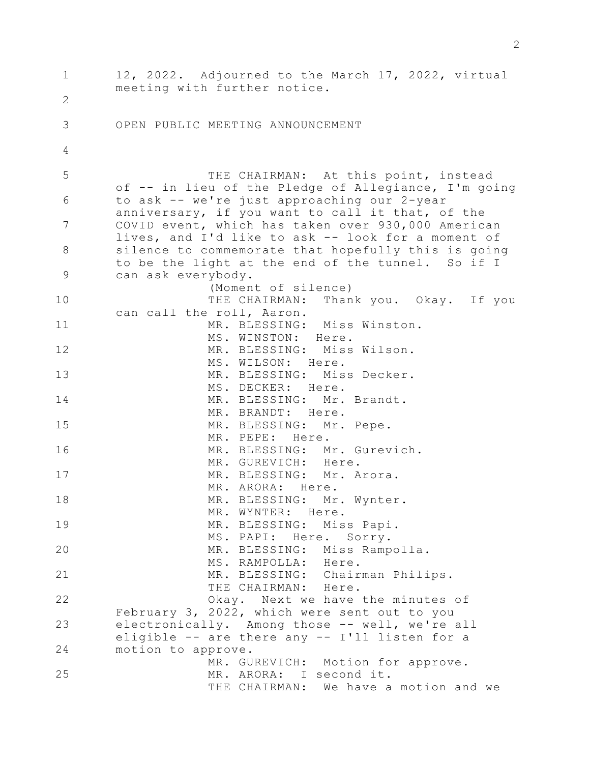1 2 3 4 5 6 7 8 9 10 11 12 13 14 15 16 17 18 19 20 21 22 23 24 25 12, 2022. Adjourned to the March 17, 2022, virtual meeting with further notice. OPEN PUBLIC MEETING ANNOUNCEMENT THE CHAIRMAN: At this point, instead of -- in lieu of the Pledge of Allegiance, I'm going to ask -- we're just approaching our 2-year anniversary, if you want to call it that, of the COVID event, which has taken over 930,000 American lives, and I'd like to ask -- look for a moment of silence to commemorate that hopefully this is going to be the light at the end of the tunnel. So if I can ask everybody. (Moment of silence) THE CHAIRMAN: Thank you. Okay. If you can call the roll, Aaron. MR. BLESSING: Miss Winston. MS. WINSTON: Here. MR. BLESSING: Miss Wilson. MS. WILSON: Here. MR. BLESSING: Miss Decker. MS. DECKER: Here. MR. BLESSING: Mr. Brandt. MR. BRANDT: Here. MR. BLESSING: Mr. Pepe. MR. PEPE: Here. MR. BLESSING: Mr. Gurevich. MR. GUREVICH: Here. MR. BLESSING: Mr. Arora. MR. ARORA: Here. MR. BLESSING: Mr. Wynter. MR. WYNTER: Here. MR. BLESSING: Miss Papi. MS. PAPI: Here. Sorry. MR. BLESSING: Miss Rampolla. MS. RAMPOLLA: Here. MR. BLESSING: Chairman Philips. THE CHAIRMAN: Here. Okay. Next we have the minutes of February 3, 2022, which were sent out to you electronically. Among those -- well, we're all eligible -- are there any -- I'll listen for a motion to approve. MR. GUREVICH: Motion for approve. MR. ARORA: I second it. THE CHAIRMAN: We have a motion and we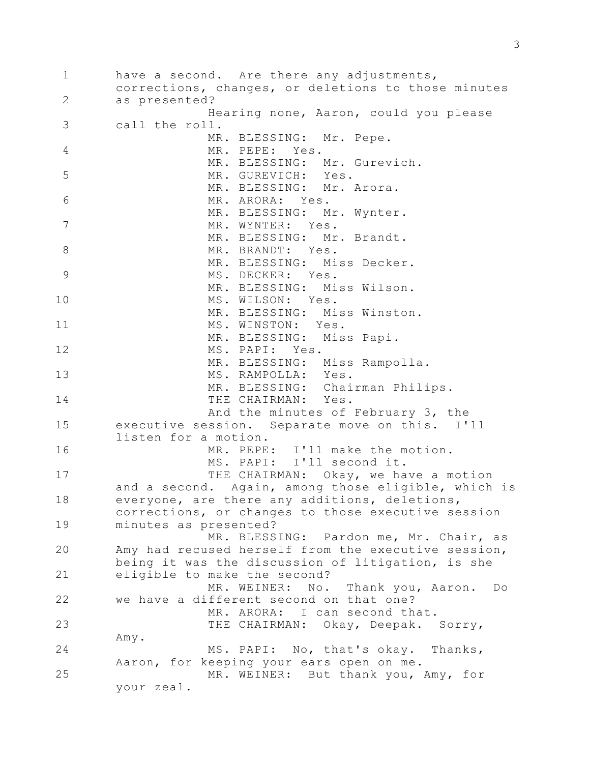1 2 3 4 5 6 7 8 9 10 11 12 13 14 15 16 17 18 19 20 21 22 23 24 25 have a second. Are there any adjustments, corrections, changes, or deletions to those minutes as presented? Hearing none, Aaron, could you please call the roll. MR. BLESSING: Mr. Pepe. MR. PEPE: Yes. MR. BLESSING: Mr. Gurevich. MR. GUREVICH: Yes. MR. BLESSING: Mr. Arora. MR. ARORA: Yes. MR. BLESSING: Mr. Wynter. MR. WYNTER: Yes. MR. BLESSING: Mr. Brandt. MR. BRANDT: Yes. MR. BLESSING: Miss Decker. MS. DECKER: Yes. MR. BLESSING: Miss Wilson. MS. WILSON: Yes. MR. BLESSING: Miss Winston. MS. WINSTON: Yes. MR. BLESSING: Miss Papi. MS. PAPI: Yes. MR. BLESSING: Miss Rampolla. MS. RAMPOLLA: Yes. MR. BLESSING: Chairman Philips. THE CHAIRMAN: Yes. And the minutes of February 3, the executive session. Separate move on this. I'll listen for a motion. MR. PEPE: I'll make the motion. MS. PAPI: I'll second it. THE CHAIRMAN: Okay, we have a motion and a second. Again, among those eligible, which is everyone, are there any additions, deletions, corrections, or changes to those executive session minutes as presented? MR. BLESSING: Pardon me, Mr. Chair, as Amy had recused herself from the executive session, being it was the discussion of litigation, is she eligible to make the second? MR. WEINER: No. Thank you, Aaron. Do we have a different second on that one? MR. ARORA: I can second that. THE CHAIRMAN: Okay, Deepak. Sorry, Amy. MS. PAPI: No, that's okay. Thanks, Aaron, for keeping your ears open on me. MR. WEINER: But thank you, Amy, for your zeal.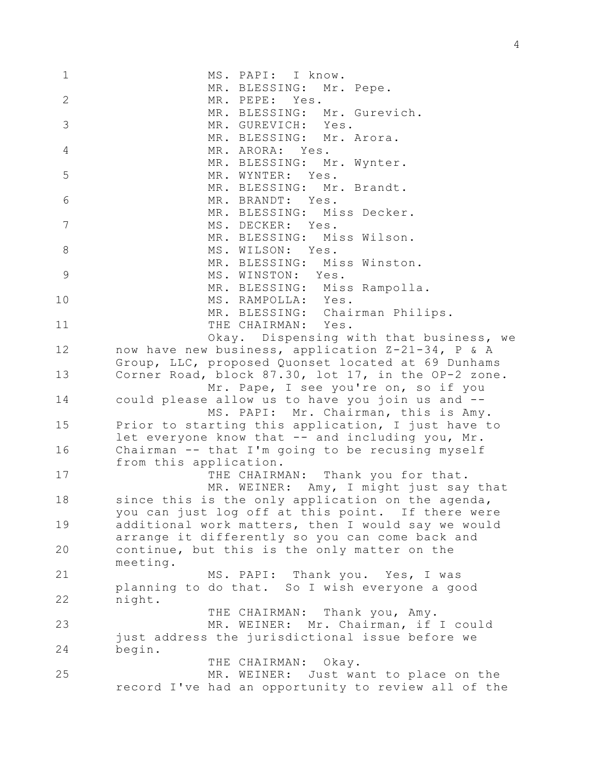| 1                 | MS. PAPI: I know.                                   |
|-------------------|-----------------------------------------------------|
|                   | MR. BLESSING: Mr. Pepe.                             |
| $\mathbf{2}$<br>3 | MR. PEPE: Yes.                                      |
|                   | MR. BLESSING: Mr. Gurevich.                         |
|                   | MR. GUREVICH: Yes.                                  |
| $\overline{4}$    | MR. BLESSING: Mr. Arora.                            |
|                   | MR. ARORA: Yes.                                     |
| 5                 | MR. BLESSING: Mr. Wynter.                           |
|                   | MR. WYNTER: Yes.                                    |
| 6                 | MR. BLESSING: Mr. Brandt.                           |
|                   | MR. BRANDT: Yes.                                    |
| 7                 | MR. BLESSING: Miss Decker.                          |
|                   | MS. DECKER: Yes.                                    |
| $\,8\,$           | MR. BLESSING: Miss Wilson.                          |
|                   | MS. WILSON: Yes.                                    |
| $\mathcal{G}$     | MR. BLESSING: Miss Winston.                         |
|                   | MS. WINSTON: Yes.<br>MR. BLESSING: Miss Rampolla.   |
|                   | MS. RAMPOLLA: Yes.                                  |
| 10                | MR. BLESSING: Chairman Philips.                     |
| 11                | THE CHAIRMAN: Yes.                                  |
|                   | Okay. Dispensing with that business, we             |
| 12                | now have new business, application Z-21-34, P & A   |
|                   | Group, LLC, proposed Quonset located at 69 Dunhams  |
| 13                | Corner Road, block 87.30, lot 17, in the OP-2 zone. |
|                   | Mr. Pape, I see you're on, so if you                |
| 14                | could please allow us to have you join us and --    |
|                   | MS. PAPI: Mr. Chairman, this is Amy.                |
| 15                | Prior to starting this application, I just have to  |
|                   | let everyone know that -- and including you, Mr.    |
| 16                | Chairman -- that I'm going to be recusing myself    |
|                   | from this application.                              |
| 17                | THE CHAIRMAN: Thank you for that.                   |
|                   | MR. WEINER: Amy, I might just say that              |
| 18                | since this is the only application on the agenda,   |
|                   | you can just log off at this point. If there were   |
| 19                | additional work matters, then I would say we would  |
|                   | arrange it differently so you can come back and     |
| 20                | continue, but this is the only matter on the        |
|                   | meeting.                                            |
| 21                | MS. PAPI: Thank you. Yes, I was                     |
|                   | planning to do that. So I wish everyone a good      |
| 22                | night.                                              |
|                   | THE CHAIRMAN: Thank you, Amy.                       |
| 23                | MR. WEINER: Mr. Chairman, if I could                |
|                   | just address the jurisdictional issue before we     |
| 24                | begin.                                              |
|                   | THE CHAIRMAN: Okay.                                 |
| 25                | MR. WEINER: Just want to place on the               |
|                   | record I've had an opportunity to review all of the |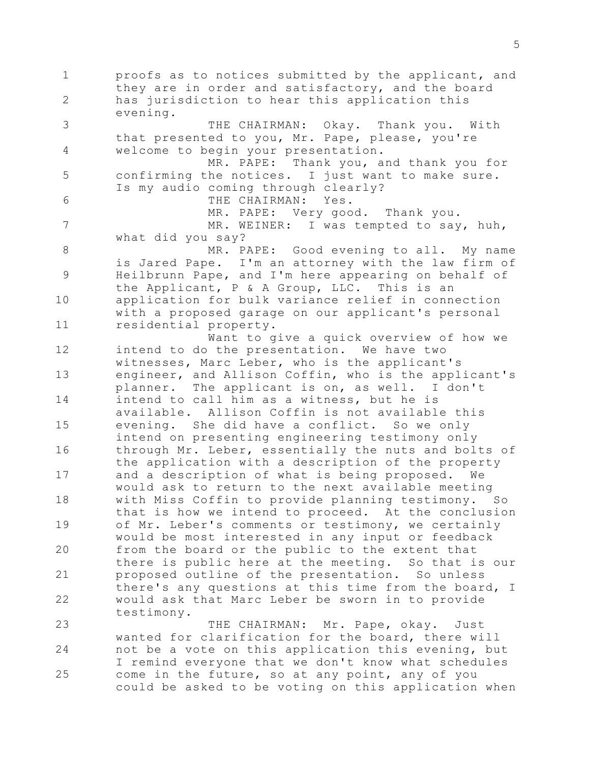1 2 3 4 5 6 7 8 9 10 11 12 13 14 15 16 17 18 19 20 21 22 23 24 25 proofs as to notices submitted by the applicant, and they are in order and satisfactory, and the board has jurisdiction to hear this application this evening. THE CHAIRMAN: Okay. Thank you. With that presented to you, Mr. Pape, please, you're welcome to begin your presentation. MR. PAPE: Thank you, and thank you for confirming the notices. I just want to make sure. Is my audio coming through clearly? THE CHAIRMAN: Yes. MR. PAPE: Very good. Thank you. MR. WEINER: I was tempted to say, huh, what did you say? MR. PAPE: Good evening to all. My name is Jared Pape. I'm an attorney with the law firm of Heilbrunn Pape, and I'm here appearing on behalf of the Applicant, P & A Group, LLC. This is an application for bulk variance relief in connection with a proposed garage on our applicant's personal residential property. Want to give a quick overview of how we intend to do the presentation. We have two witnesses, Marc Leber, who is the applicant's engineer, and Allison Coffin, who is the applicant's planner. The applicant is on, as well. I don't intend to call him as a witness, but he is available. Allison Coffin is not available this evening. She did have a conflict. So we only intend on presenting engineering testimony only through Mr. Leber, essentially the nuts and bolts of the application with a description of the property and a description of what is being proposed. We would ask to return to the next available meeting with Miss Coffin to provide planning testimony. So that is how we intend to proceed. At the conclusion of Mr. Leber's comments or testimony, we certainly would be most interested in any input or feedback from the board or the public to the extent that there is public here at the meeting. So that is our proposed outline of the presentation. So unless there's any questions at this time from the board, I would ask that Marc Leber be sworn in to provide testimony. THE CHAIRMAN: Mr. Pape, okay. Just wanted for clarification for the board, there will not be a vote on this application this evening, but I remind everyone that we don't know what schedules come in the future, so at any point, any of you

could be asked to be voting on this application when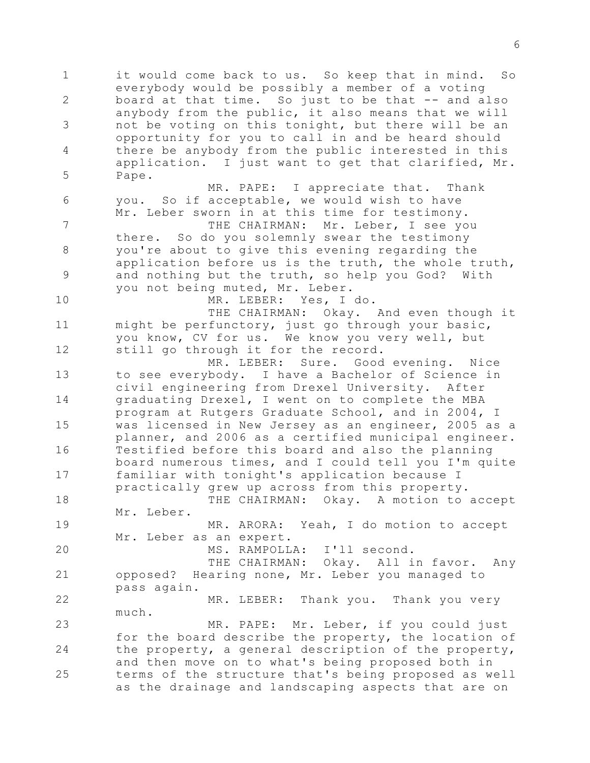1 2 3 4 5 6 7 8 9 10 11 12 13 14 15 16 17 18 19 20 21 22 23 24 25 it would come back to us. So keep that in mind. So everybody would be possibly a member of a voting board at that time. So just to be that -- and also anybody from the public, it also means that we will not be voting on this tonight, but there will be an opportunity for you to call in and be heard should there be anybody from the public interested in this application. I just want to get that clarified, Mr. Pape. MR. PAPE: I appreciate that. Thank you. So if acceptable, we would wish to have Mr. Leber sworn in at this time for testimony. THE CHAIRMAN: Mr. Leber, I see you there. So do you solemnly swear the testimony you're about to give this evening regarding the application before us is the truth, the whole truth, and nothing but the truth, so help you God? With you not being muted, Mr. Leber. MR. LEBER: Yes, I do. THE CHAIRMAN: Okay. And even though it might be perfunctory, just go through your basic, you know, CV for us. We know you very well, but still go through it for the record. MR. LEBER: Sure. Good evening. Nice to see everybody. I have a Bachelor of Science in civil engineering from Drexel University. After graduating Drexel, I went on to complete the MBA program at Rutgers Graduate School, and in 2004, I was licensed in New Jersey as an engineer, 2005 as a planner, and 2006 as a certified municipal engineer. Testified before this board and also the planning board numerous times, and I could tell you I'm quite familiar with tonight's application because I practically grew up across from this property. THE CHAIRMAN: Okay. A motion to accept Mr. Leber. MR. ARORA: Yeah, I do motion to accept Mr. Leber as an expert. MS. RAMPOLLA: I'll second. THE CHAIRMAN: Okay. All in favor. Any opposed? Hearing none, Mr. Leber you managed to pass again. MR. LEBER: Thank you. Thank you very much. MR. PAPE: Mr. Leber, if you could just for the board describe the property, the location of the property, a general description of the property, and then move on to what's being proposed both in terms of the structure that's being proposed as well as the drainage and landscaping aspects that are on

6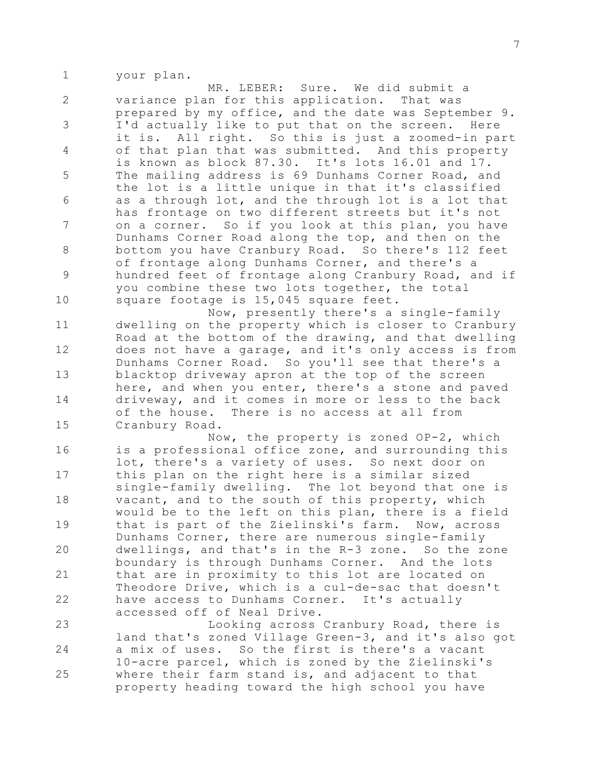1 your plan.

2 3 4 5 6 7 8 9 10 MR. LEBER: Sure. We did submit a variance plan for this application. That was prepared by my office, and the date was September 9. I'd actually like to put that on the screen. Here it is. All right. So this is just a zoomed-in part of that plan that was submitted. And this property is known as block 87.30. It's lots 16.01 and 17. The mailing address is 69 Dunhams Corner Road, and the lot is a little unique in that it's classified as a through lot, and the through lot is a lot that has frontage on two different streets but it's not on a corner. So if you look at this plan, you have Dunhams Corner Road along the top, and then on the bottom you have Cranbury Road. So there's 112 feet of frontage along Dunhams Corner, and there's a hundred feet of frontage along Cranbury Road, and if you combine these two lots together, the total square footage is 15,045 square feet. Now, presently there's a single-family

11 12 13 14 15 dwelling on the property which is closer to Cranbury Road at the bottom of the drawing, and that dwelling does not have a garage, and it's only access is from Dunhams Corner Road. So you'll see that there's a blacktop driveway apron at the top of the screen here, and when you enter, there's a stone and paved driveway, and it comes in more or less to the back of the house. There is no access at all from Cranbury Road.

16 17 18 19 20 21 22 Now, the property is zoned OP-2, which is a professional office zone, and surrounding this lot, there's a variety of uses. So next door on this plan on the right here is a similar sized single-family dwelling. The lot beyond that one is vacant, and to the south of this property, which would be to the left on this plan, there is a field that is part of the Zielinski's farm. Now, across Dunhams Corner, there are numerous single-family dwellings, and that's in the R-3 zone. So the zone boundary is through Dunhams Corner. And the lots that are in proximity to this lot are located on Theodore Drive, which is a cul-de-sac that doesn't have access to Dunhams Corner. It's actually accessed off of Neal Drive.

23 24 25 Looking across Cranbury Road, there is land that's zoned Village Green-3, and it's also got a mix of uses. So the first is there's a vacant 10-acre parcel, which is zoned by the Zielinski's where their farm stand is, and adjacent to that property heading toward the high school you have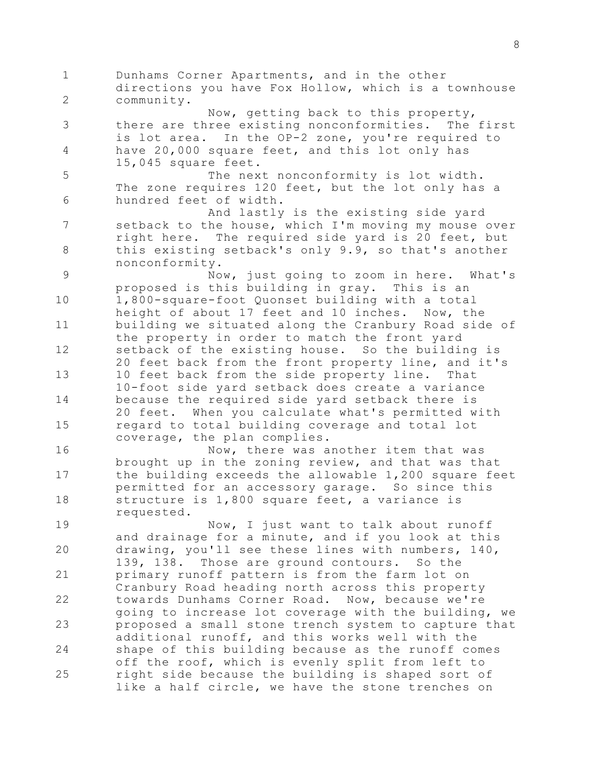1 2 3 4 5 6 7 8 9 10 11 12 13 14 15 16 17 18 19 20 21 22 23 24 25 Dunhams Corner Apartments, and in the other directions you have Fox Hollow, which is a townhouse community. Now, getting back to this property, there are three existing nonconformities. The first is lot area. In the OP-2 zone, you're required to have 20,000 square feet, and this lot only has 15,045 square feet. The next nonconformity is lot width. The zone requires 120 feet, but the lot only has a hundred feet of width. And lastly is the existing side yard setback to the house, which I'm moving my mouse over right here. The required side yard is 20 feet, but this existing setback's only 9.9, so that's another nonconformity. Now, just going to zoom in here. What's proposed is this building in gray. This is an 1,800-square-foot Quonset building with a total height of about 17 feet and 10 inches. Now, the building we situated along the Cranbury Road side of the property in order to match the front yard setback of the existing house. So the building is 20 feet back from the front property line, and it's 10 feet back from the side property line. That 10-foot side yard setback does create a variance because the required side yard setback there is 20 feet. When you calculate what's permitted with regard to total building coverage and total lot coverage, the plan complies. Now, there was another item that was brought up in the zoning review, and that was that the building exceeds the allowable 1,200 square feet permitted for an accessory garage. So since this structure is 1,800 square feet, a variance is requested. Now, I just want to talk about runoff and drainage for a minute, and if you look at this drawing, you'll see these lines with numbers, 140, 139, 138. Those are ground contours. So the primary runoff pattern is from the farm lot on Cranbury Road heading north across this property towards Dunhams Corner Road. Now, because we're going to increase lot coverage with the building, we proposed a small stone trench system to capture that additional runoff, and this works well with the shape of this building because as the runoff comes off the roof, which is evenly split from left to right side because the building is shaped sort of like a half circle, we have the stone trenches on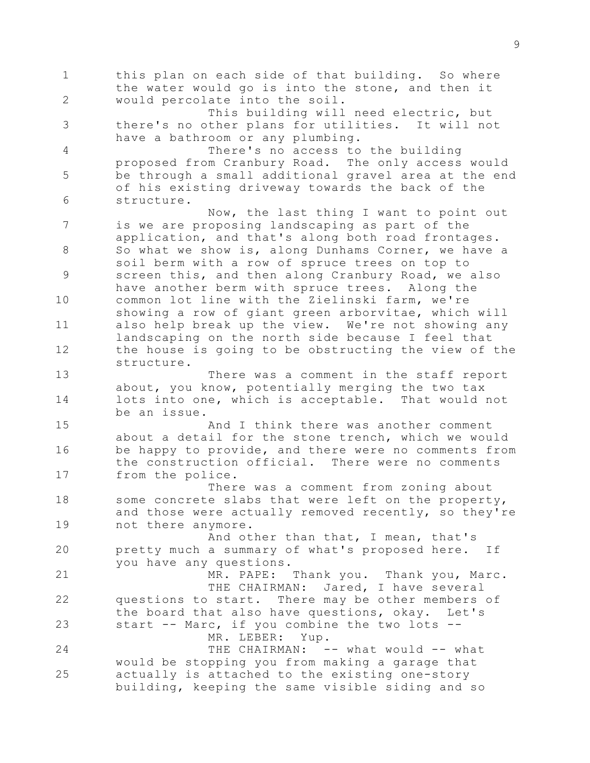1 2 3 4 5 6 7 8 9 10 11 12 13 14 15 16 17 18 19 20 21 22 23 24 25 this plan on each side of that building. So where the water would go is into the stone, and then it would percolate into the soil. This building will need electric, but there's no other plans for utilities. It will not have a bathroom or any plumbing. There's no access to the building proposed from Cranbury Road. The only access would be through a small additional gravel area at the end of his existing driveway towards the back of the structure. Now, the last thing I want to point out is we are proposing landscaping as part of the application, and that's along both road frontages. So what we show is, along Dunhams Corner, we have a soil berm with a row of spruce trees on top to screen this, and then along Cranbury Road, we also have another berm with spruce trees. Along the common lot line with the Zielinski farm, we're showing a row of giant green arborvitae, which will also help break up the view. We're not showing any landscaping on the north side because I feel that the house is going to be obstructing the view of the structure. There was a comment in the staff report about, you know, potentially merging the two tax lots into one, which is acceptable. That would not be an issue. And I think there was another comment about a detail for the stone trench, which we would be happy to provide, and there were no comments from the construction official. There were no comments from the police. There was a comment from zoning about some concrete slabs that were left on the property, and those were actually removed recently, so they're not there anymore. And other than that, I mean, that's pretty much a summary of what's proposed here. If you have any questions. MR. PAPE: Thank you. Thank you, Marc. THE CHAIRMAN: Jared, I have several questions to start. There may be other members of the board that also have questions, okay. Let's start -- Marc, if you combine the two lots --MR. LEBER: Yup. THE CHAIRMAN: -- what would -- what would be stopping you from making a garage that actually is attached to the existing one-story building, keeping the same visible siding and so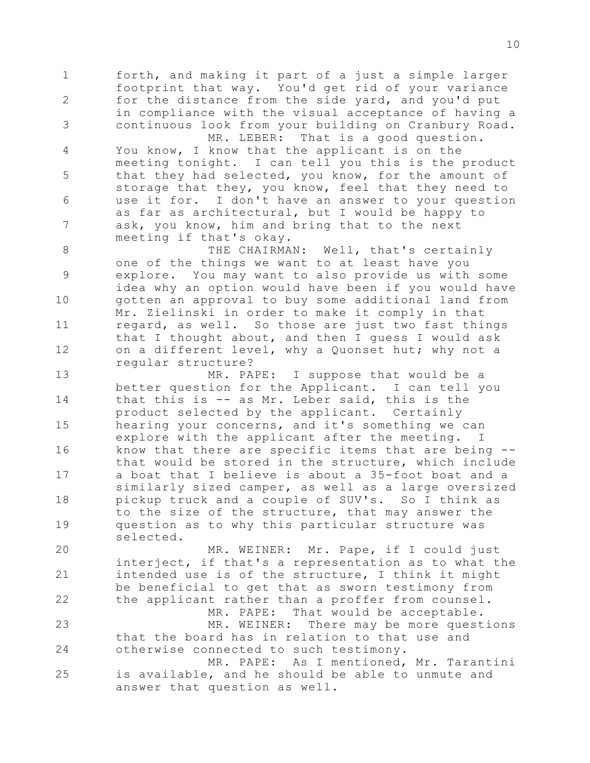1 2 3 forth, and making it part of a just a simple larger footprint that way. You'd get rid of your variance for the distance from the side yard, and you'd put in compliance with the visual acceptance of having a continuous look from your building on Cranbury Road. MR. LEBER: That is a good question.

4 5 6 7 You know, I know that the applicant is on the meeting tonight. I can tell you this is the product that they had selected, you know, for the amount of storage that they, you know, feel that they need to use it for. I don't have an answer to your question as far as architectural, but I would be happy to ask, you know, him and bring that to the next meeting if that's okay.

8 9 10 11 12 THE CHAIRMAN: Well, that's certainly one of the things we want to at least have you explore. You may want to also provide us with some idea why an option would have been if you would have gotten an approval to buy some additional land from Mr. Zielinski in order to make it comply in that regard, as well. So those are just two fast things that I thought about, and then I guess I would ask on a different level, why a Quonset hut; why not a regular structure?

13 14 15 16 17 18 19 MR. PAPE: I suppose that would be a better question for the Applicant. I can tell you that this is -- as Mr. Leber said, this is the product selected by the applicant. Certainly hearing your concerns, and it's something we can explore with the applicant after the meeting. I know that there are specific items that are being - that would be stored in the structure, which include a boat that I believe is about a 35-foot boat and a similarly sized camper, as well as a large oversized pickup truck and a couple of SUV's. So I think as to the size of the structure, that may answer the question as to why this particular structure was selected.

20 21 22 23 24 25 MR. WEINER: Mr. Pape, if I could just interject, if that's a representation as to what the intended use is of the structure, I think it might be beneficial to get that as sworn testimony from the applicant rather than a proffer from counsel. MR. PAPE: That would be acceptable. MR. WEINER: There may be more questions that the board has in relation to that use and otherwise connected to such testimony. MR. PAPE: As I mentioned, Mr. Tarantini is available, and he should be able to unmute and

answer that question as well.

10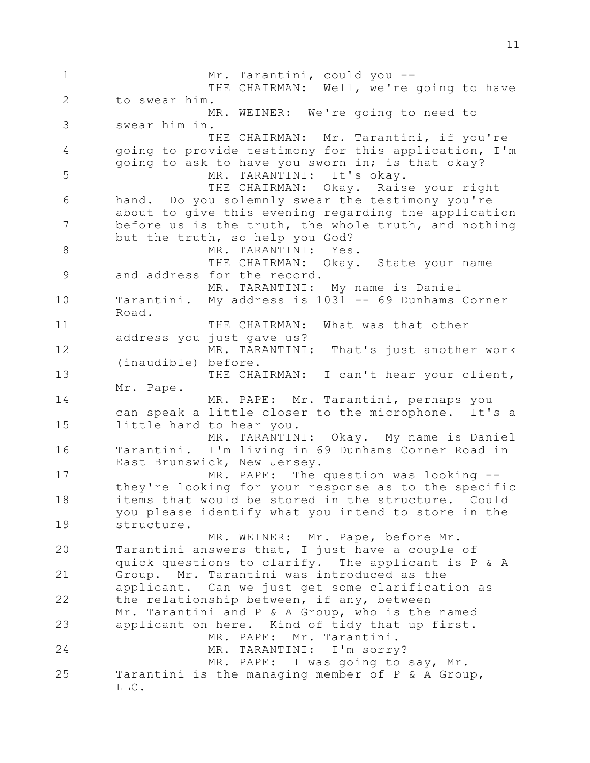1 2 3 4 5 6 7 8 9 10 11 12 13 14 15 16 17 18 19 20 21 22 23 24 25 Mr. Tarantini, could you -- THE CHAIRMAN: Well, we're going to have to swear him. MR. WEINER: We're going to need to swear him in. THE CHAIRMAN: Mr. Tarantini, if you're going to provide testimony for this application, I'm going to ask to have you sworn in; is that okay? MR. TARANTINI: It's okay. THE CHAIRMAN: Okay. Raise your right hand. Do you solemnly swear the testimony you're about to give this evening regarding the application before us is the truth, the whole truth, and nothing but the truth, so help you God? MR. TARANTINI: Yes. THE CHAIRMAN: Okay. State your name and address for the record. MR. TARANTINI: My name is Daniel Tarantini. My address is 1031 -- 69 Dunhams Corner Road. THE CHAIRMAN: What was that other address you just gave us? MR. TARANTINI: That's just another work (inaudible) before. THE CHAIRMAN: I can't hear your client, Mr. Pape. MR. PAPE: Mr. Tarantini, perhaps you can speak a little closer to the microphone. It's a little hard to hear you. MR. TARANTINI: Okay. My name is Daniel Tarantini. I'm living in 69 Dunhams Corner Road in East Brunswick, New Jersey. MR. PAPE: The question was looking - they're looking for your response as to the specific items that would be stored in the structure. Could you please identify what you intend to store in the structure. MR. WEINER: Mr. Pape, before Mr. Tarantini answers that, I just have a couple of quick questions to clarify. The applicant is P & A Group. Mr. Tarantini was introduced as the applicant. Can we just get some clarification as the relationship between, if any, between Mr. Tarantini and P & A Group, who is the named applicant on here. Kind of tidy that up first. MR. PAPE: Mr. Tarantini. MR. TARANTINI: I'm sorry? MR. PAPE: I was going to say, Mr. Tarantini is the managing member of P & A Group, LLC.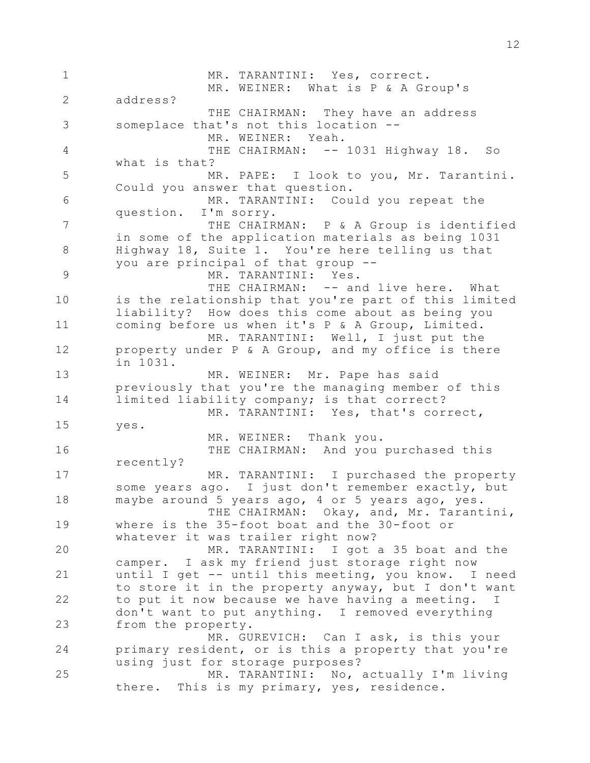1 2 3 4 5 6 7 8 9 10 11 12 13 14 15 16 17 18 19 20 21 22 23 24 25 MR. TARANTINI: Yes, correct. MR. WEINER: What is P & A Group's address? THE CHAIRMAN: They have an address someplace that's not this location -- MR. WEINER: Yeah. THE CHAIRMAN: -- 1031 Highway 18. So what is that? MR. PAPE: I look to you, Mr. Tarantini. Could you answer that question. MR. TARANTINI: Could you repeat the question. I'm sorry. THE CHAIRMAN: P & A Group is identified in some of the application materials as being 1031 Highway 18, Suite 1. You're here telling us that you are principal of that group -- MR. TARANTINI: Yes. THE CHAIRMAN: -- and live here. What is the relationship that you're part of this limited liability? How does this come about as being you coming before us when it's P & A Group, Limited. MR. TARANTINI: Well, I just put the property under P & A Group, and my office is there in 1031. MR. WEINER: Mr. Pape has said previously that you're the managing member of this limited liability company; is that correct? MR. TARANTINI: Yes, that's correct, yes. MR. WEINER: Thank you. THE CHAIRMAN: And you purchased this recently? MR. TARANTINI: I purchased the property some years ago. I just don't remember exactly, but maybe around 5 years ago, 4 or 5 years ago, yes. THE CHAIRMAN: Okay, and, Mr. Tarantini, where is the 35-foot boat and the 30-foot or whatever it was trailer right now? MR. TARANTINI: I got a 35 boat and the camper. I ask my friend just storage right now until I get -- until this meeting, you know. I need to store it in the property anyway, but I don't want to put it now because we have having a meeting. I don't want to put anything. I removed everything from the property. MR. GUREVICH: Can I ask, is this your primary resident, or is this a property that you're using just for storage purposes? MR. TARANTINI: No, actually I'm living there. This is my primary, yes, residence.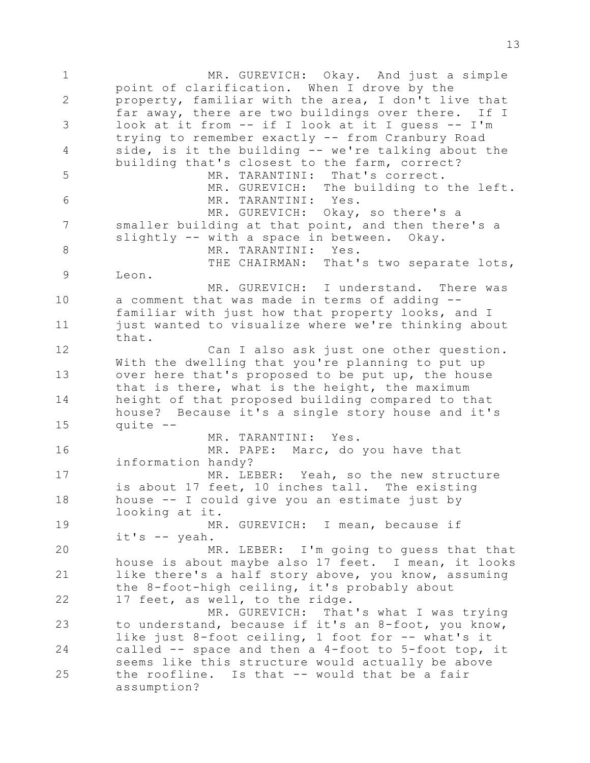1 2 3 4 5 6 7 8 9 10 11 12 13 14 15 16 17 18 19 20 21 22 23 24 25 MR. GUREVICH: Okay. And just a simple point of clarification. When I drove by the property, familiar with the area, I don't live that far away, there are two buildings over there. If I look at it from -- if I look at it I guess -- I'm trying to remember exactly -- from Cranbury Road side, is it the building -- we're talking about the building that's closest to the farm, correct? MR. TARANTINI: That's correct. MR. GUREVICH: The building to the left. MR. TARANTINI: Yes. MR. GUREVICH: Okay, so there's a smaller building at that point, and then there's a slightly -- with a space in between. Okay. MR. TARANTINI: Yes. THE CHAIRMAN: That's two separate lots, Leon. MR. GUREVICH: I understand. There was a comment that was made in terms of adding - familiar with just how that property looks, and I just wanted to visualize where we're thinking about that. Can I also ask just one other question. With the dwelling that you're planning to put up over here that's proposed to be put up, the house that is there, what is the height, the maximum height of that proposed building compared to that house? Because it's a single story house and it's quite -- MR. TARANTINI: Yes. MR. PAPE: Marc, do you have that information handy? MR. LEBER: Yeah, so the new structure is about 17 feet, 10 inches tall. The existing house -- I could give you an estimate just by looking at it. MR. GUREVICH: I mean, because if it's -- yeah. MR. LEBER: I'm going to guess that that house is about maybe also 17 feet. I mean, it looks like there's a half story above, you know, assuming the 8-foot-high ceiling, it's probably about 17 feet, as well, to the ridge. MR. GUREVICH: That's what I was trying to understand, because if it's an 8-foot, you know, like just 8-foot ceiling, 1 foot for -- what's it called -- space and then a 4-foot to 5-foot top, it seems like this structure would actually be above the roofline. Is that -- would that be a fair assumption?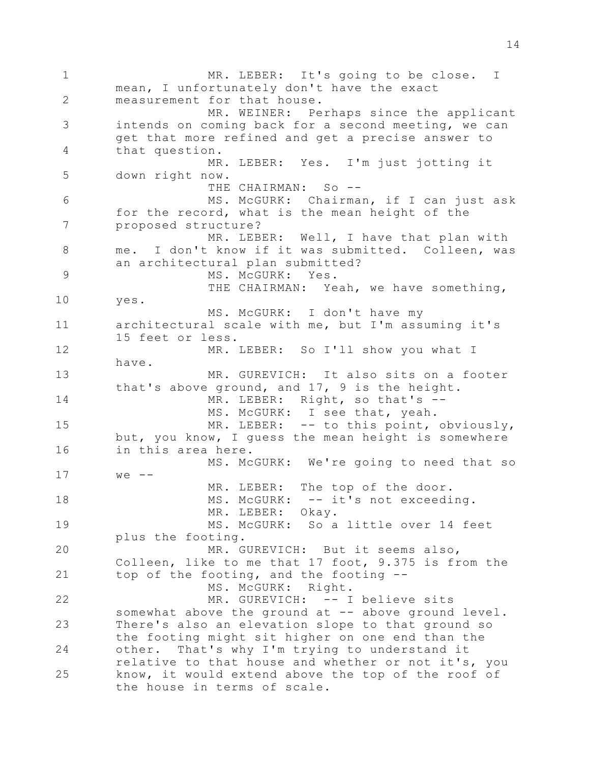1 2 3 4 5 6 7 8 9 10 11 12 13 14 15 16 17 18 19 20 21 22 23 24 25 MR. LEBER: It's going to be close. I mean, I unfortunately don't have the exact measurement for that house. MR. WEINER: Perhaps since the applicant intends on coming back for a second meeting, we can get that more refined and get a precise answer to that question. MR. LEBER: Yes. I'm just jotting it down right now. THE CHAIRMAN: So --MS. McGURK: Chairman, if I can just ask for the record, what is the mean height of the proposed structure? MR. LEBER: Well, I have that plan with me. I don't know if it was submitted. Colleen, was an architectural plan submitted? MS. McGURK: Yes. THE CHAIRMAN: Yeah, we have something, yes. MS. McGURK: I don't have my architectural scale with me, but I'm assuming it's 15 feet or less. MR. LEBER: So I'll show you what I have. MR. GUREVICH: It also sits on a footer that's above ground, and 17, 9 is the height. MR. LEBER: Right, so that's --MS. McGURK: I see that, yeah. MR. LEBER: -- to this point, obviously, but, you know, I guess the mean height is somewhere in this area here. MS. McGURK: We're going to need that so  $we$  --MR. LEBER: The top of the door. MS. McGURK: -- it's not exceeding. MR. LEBER: Okay. MS. McGURK: So a little over 14 feet plus the footing. MR. GUREVICH: But it seems also, Colleen, like to me that 17 foot, 9.375 is from the top of the footing, and the footing -- MS. McGURK: Right. MR. GUREVICH: -- I believe sits somewhat above the ground at -- above ground level. There's also an elevation slope to that ground so the footing might sit higher on one end than the other. That's why I'm trying to understand it relative to that house and whether or not it's, you know, it would extend above the top of the roof of the house in terms of scale.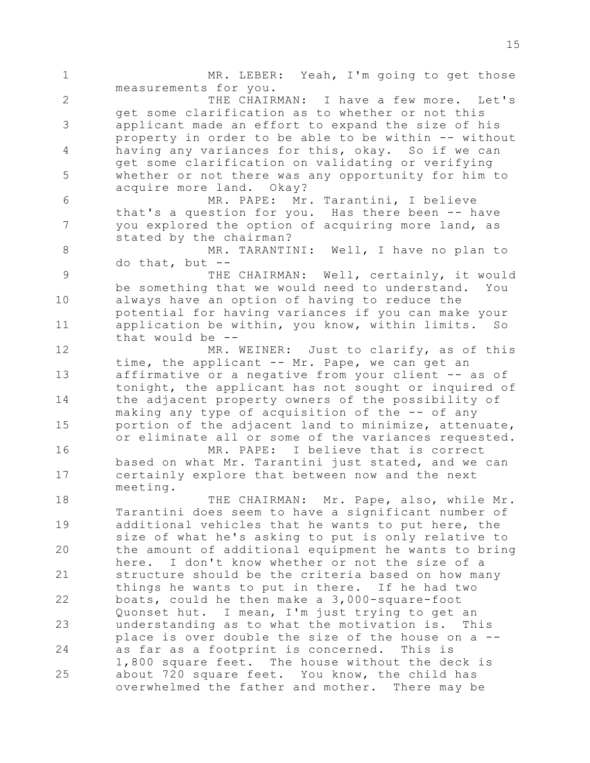1 2 3 4 5 6 7 8 9 10 11 12 13 14 15 16 17 18 19 20 21 22 23 24 25 MR. LEBER: Yeah, I'm going to get those measurements for you. THE CHAIRMAN: I have a few more. Let's get some clarification as to whether or not this applicant made an effort to expand the size of his property in order to be able to be within -- without having any variances for this, okay. So if we can get some clarification on validating or verifying whether or not there was any opportunity for him to acquire more land. Okay? MR. PAPE: Mr. Tarantini, I believe that's a question for you. Has there been -- have you explored the option of acquiring more land, as stated by the chairman? MR. TARANTINI: Well, I have no plan to do that, but -- THE CHAIRMAN: Well, certainly, it would be something that we would need to understand. You always have an option of having to reduce the potential for having variances if you can make your application be within, you know, within limits. So that would be -- MR. WEINER: Just to clarify, as of this time, the applicant -- Mr. Pape, we can get an affirmative or a negative from your client -- as of tonight, the applicant has not sought or inquired of the adjacent property owners of the possibility of making any type of acquisition of the -- of any portion of the adjacent land to minimize, attenuate, or eliminate all or some of the variances requested. MR. PAPE: I believe that is correct based on what Mr. Tarantini just stated, and we can certainly explore that between now and the next meeting. THE CHAIRMAN: Mr. Pape, also, while Mr. Tarantini does seem to have a significant number of additional vehicles that he wants to put here, the size of what he's asking to put is only relative to the amount of additional equipment he wants to bring here. I don't know whether or not the size of a structure should be the criteria based on how many things he wants to put in there. If he had two boats, could he then make a 3,000-square-foot Quonset hut. I mean, I'm just trying to get an understanding as to what the motivation is. This place is over double the size of the house on a - as far as a footprint is concerned. This is 1,800 square feet. The house without the deck is about 720 square feet. You know, the child has overwhelmed the father and mother. There may be

15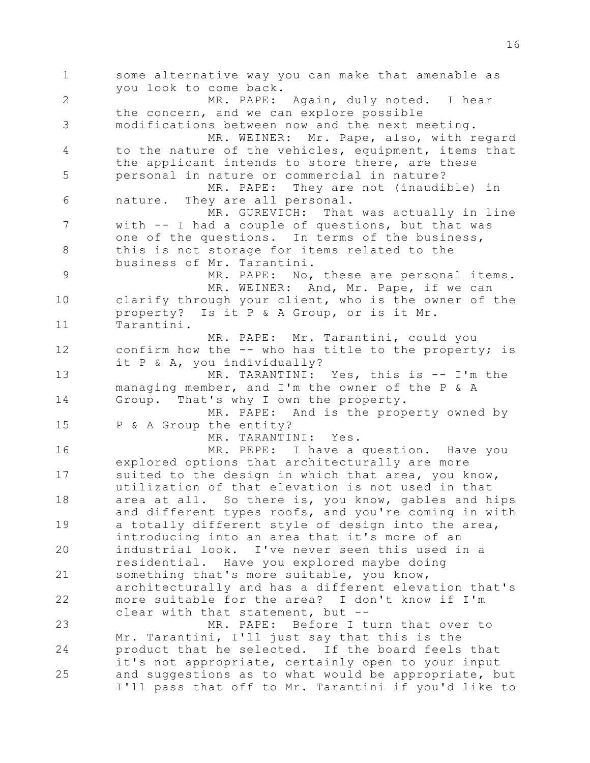1 2 3 4 5 6 7 8 9 10 11 12 13 14 15 16 17 18 19 20 21 22 23 24 25 some alternative way you can make that amenable as you look to come back. MR. PAPE: Again, duly noted. I hear the concern, and we can explore possible modifications between now and the next meeting. MR. WEINER: Mr. Pape, also, with regard to the nature of the vehicles, equipment, items that the applicant intends to store there, are these personal in nature or commercial in nature? MR. PAPE: They are not (inaudible) in nature. They are all personal. MR. GUREVICH: That was actually in line with -- I had a couple of questions, but that was one of the questions. In terms of the business, this is not storage for items related to the business of Mr. Tarantini. MR. PAPE: No, these are personal items. MR. WEINER: And, Mr. Pape, if we can clarify through your client, who is the owner of the property? Is it P & A Group, or is it Mr. Tarantini. MR. PAPE: Mr. Tarantini, could you confirm how the -- who has title to the property; is it P & A, you individually? MR. TARANTINI: Yes, this is -- I'm the managing member, and I'm the owner of the P & A Group. That's why I own the property. MR. PAPE: And is the property owned by P & A Group the entity? MR. TARANTINI: Yes. MR. PEPE: I have a question. Have you explored options that architecturally are more suited to the design in which that area, you know, utilization of that elevation is not used in that area at all. So there is, you know, gables and hips and different types roofs, and you're coming in with a totally different style of design into the area, introducing into an area that it's more of an industrial look. I've never seen this used in a residential. Have you explored maybe doing something that's more suitable, you know, architecturally and has a different elevation that's more suitable for the area? I don't know if I'm clear with that statement, but -- MR. PAPE: Before I turn that over to Mr. Tarantini, I'll just say that this is the product that he selected. If the board feels that it's not appropriate, certainly open to your input and suggestions as to what would be appropriate, but I'll pass that off to Mr. Tarantini if you'd like to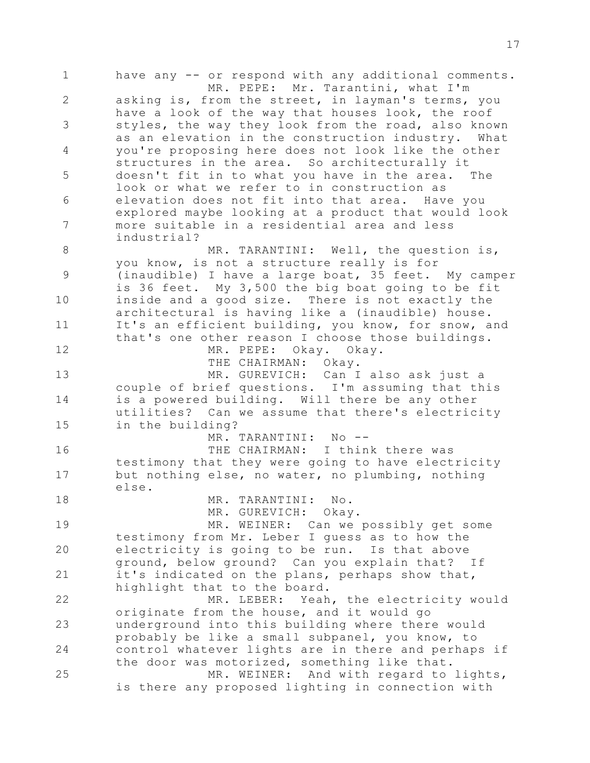1 2 3 4 5 6 7 8 9 10 11 12 13 14 15 16 17 18 19 20 21 22 23 24 25 have any -- or respond with any additional comments. MR. PEPE: Mr. Tarantini, what I'm asking is, from the street, in layman's terms, you have a look of the way that houses look, the roof styles, the way they look from the road, also known as an elevation in the construction industry. What you're proposing here does not look like the other structures in the area. So architecturally it doesn't fit in to what you have in the area. The look or what we refer to in construction as elevation does not fit into that area. Have you explored maybe looking at a product that would look more suitable in a residential area and less industrial? MR. TARANTINI: Well, the question is, you know, is not a structure really is for (inaudible) I have a large boat, 35 feet. My camper is 36 feet. My 3,500 the big boat going to be fit inside and a good size. There is not exactly the architectural is having like a (inaudible) house. It's an efficient building, you know, for snow, and that's one other reason I choose those buildings. MR. PEPE: Okay. Okay. THE CHAIRMAN: Okay. MR. GUREVICH: Can I also ask just a couple of brief questions. I'm assuming that this is a powered building. Will there be any other utilities? Can we assume that there's electricity in the building? MR. TARANTINI: No -- THE CHAIRMAN: I think there was testimony that they were going to have electricity but nothing else, no water, no plumbing, nothing else. MR. TARANTINI: No. MR. GUREVICH: Okay. MR. WEINER: Can we possibly get some testimony from Mr. Leber I guess as to how the electricity is going to be run. Is that above ground, below ground? Can you explain that? If it's indicated on the plans, perhaps show that, highlight that to the board. MR. LEBER: Yeah, the electricity would originate from the house, and it would go underground into this building where there would probably be like a small subpanel, you know, to control whatever lights are in there and perhaps if the door was motorized, something like that. MR. WEINER: And with regard to lights, is there any proposed lighting in connection with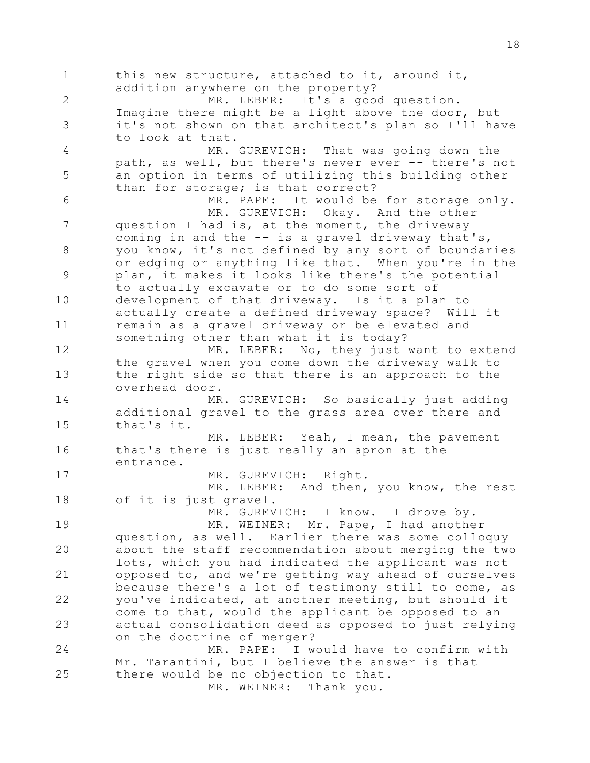1 2 3 4 5 6 7 8 9 10 11 12 13 14 15 16 17 18 19 20 21 22 23 24 25 this new structure, attached to it, around it, addition anywhere on the property?<br>MR. LEBER: It's a goo It's a good question. Imagine there might be a light above the door, but it's not shown on that architect's plan so I'll have to look at that. MR. GUREVICH: That was going down the path, as well, but there's never ever -- there's not an option in terms of utilizing this building other than for storage; is that correct? MR. PAPE: It would be for storage only. MR. GUREVICH: Okay. And the other question I had is, at the moment, the driveway coming in and the -- is a gravel driveway that's, you know, it's not defined by any sort of boundaries or edging or anything like that. When you're in the plan, it makes it looks like there's the potential to actually excavate or to do some sort of development of that driveway. Is it a plan to actually create a defined driveway space? Will it remain as a gravel driveway or be elevated and something other than what it is today? MR. LEBER: No, they just want to extend the gravel when you come down the driveway walk to the right side so that there is an approach to the overhead door. MR. GUREVICH: So basically just adding additional gravel to the grass area over there and that's it. MR. LEBER: Yeah, I mean, the pavement that's there is just really an apron at the entrance. MR. GUREVICH: Right. MR. LEBER: And then, you know, the rest of it is just gravel. MR. GUREVICH: I know. I drove by. MR. WEINER: Mr. Pape, I had another question, as well. Earlier there was some colloquy about the staff recommendation about merging the two lots, which you had indicated the applicant was not opposed to, and we're getting way ahead of ourselves because there's a lot of testimony still to come, as you've indicated, at another meeting, but should it come to that, would the applicant be opposed to an actual consolidation deed as opposed to just relying on the doctrine of merger? MR. PAPE: I would have to confirm with Mr. Tarantini, but I believe the answer is that there would be no objection to that. MR. WEINER: Thank you.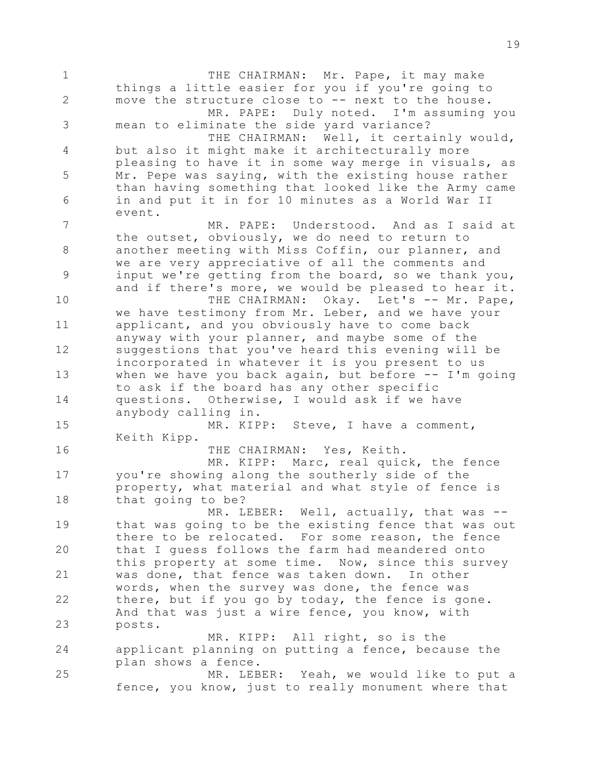1 2 3 4 5 6 7 8 9 10 11 12 13 14 15 16 17 18 19 20 21 22 23 24 25 THE CHAIRMAN: Mr. Pape, it may make things a little easier for you if you're going to move the structure close to -- next to the house. MR. PAPE: Duly noted. I'm assuming you mean to eliminate the side yard variance? THE CHAIRMAN: Well, it certainly would, but also it might make it architecturally more pleasing to have it in some way merge in visuals, as Mr. Pepe was saying, with the existing house rather than having something that looked like the Army came in and put it in for 10 minutes as a World War II event. MR. PAPE: Understood. And as I said at the outset, obviously, we do need to return to another meeting with Miss Coffin, our planner, and we are very appreciative of all the comments and input we're getting from the board, so we thank you, and if there's more, we would be pleased to hear it. THE CHAIRMAN: Okay. Let's -- Mr. Pape, we have testimony from Mr. Leber, and we have your applicant, and you obviously have to come back anyway with your planner, and maybe some of the suggestions that you've heard this evening will be incorporated in whatever it is you present to us when we have you back again, but before  $-$  I'm going to ask if the board has any other specific questions. Otherwise, I would ask if we have anybody calling in. MR. KIPP: Steve, I have a comment, Keith Kipp. THE CHAIRMAN: Yes, Keith. MR. KIPP: Marc, real quick, the fence you're showing along the southerly side of the property, what material and what style of fence is that going to be? MR. LEBER: Well, actually, that was -that was going to be the existing fence that was out there to be relocated. For some reason, the fence that I guess follows the farm had meandered onto this property at some time. Now, since this survey was done, that fence was taken down. In other words, when the survey was done, the fence was there, but if you go by today, the fence is gone. And that was just a wire fence, you know, with posts. MR. KIPP: All right, so is the applicant planning on putting a fence, because the plan shows a fence. MR. LEBER: Yeah, we would like to put a fence, you know, just to really monument where that

19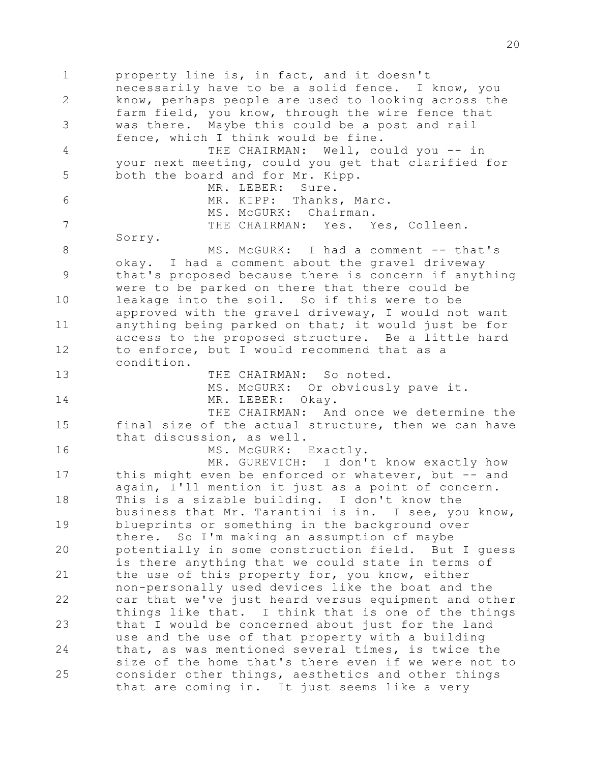1 2 3 4 5 6 7 8 9 10 11 12 13 14 15 16 17 18 19 20 21 22 23 24 25 property line is, in fact, and it doesn't necessarily have to be a solid fence. I know, you know, perhaps people are used to looking across the farm field, you know, through the wire fence that was there. Maybe this could be a post and rail fence, which I think would be fine. THE CHAIRMAN: Well, could you -- in your next meeting, could you get that clarified for both the board and for Mr. Kipp. MR. LEBER: Sure. MR. KIPP: Thanks, Marc. MS. McGURK: Chairman. THE CHAIRMAN: Yes. Yes, Colleen. Sorry. MS. McGURK: I had a comment -- that's okay. I had a comment about the gravel driveway that's proposed because there is concern if anything were to be parked on there that there could be leakage into the soil. So if this were to be approved with the gravel driveway, I would not want anything being parked on that; it would just be for access to the proposed structure. Be a little hard to enforce, but I would recommend that as a condition. THE CHAIRMAN: So noted. MS. McGURK: Or obviously pave it. MR. LEBER: Okay. THE CHAIRMAN: And once we determine the final size of the actual structure, then we can have that discussion, as well. MS. McGURK: Exactly. MR. GUREVICH: I don't know exactly how this might even be enforced or whatever, but -- and again, I'll mention it just as a point of concern. This is a sizable building. I don't know the business that Mr. Tarantini is in. I see, you know, blueprints or something in the background over there. So I'm making an assumption of maybe potentially in some construction field. But I guess is there anything that we could state in terms of the use of this property for, you know, either non-personally used devices like the boat and the car that we've just heard versus equipment and other things like that. I think that is one of the things that I would be concerned about just for the land use and the use of that property with a building that, as was mentioned several times, is twice the size of the home that's there even if we were not to consider other things, aesthetics and other things that are coming in. It just seems like a very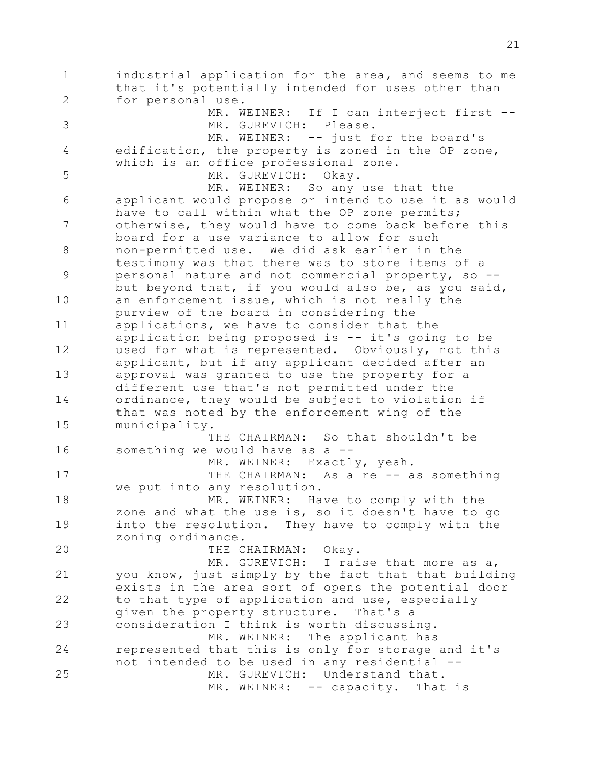1 2 3 4 5 6 7 8 9 10 11 12 13 14 15 16 17 18 19 20 21 22 23 24 25 industrial application for the area, and seems to me that it's potentially intended for uses other than for personal use. MR. WEINER: If I can interject first --MR. GUREVICH: Please. MR. WEINER: -- just for the board's edification, the property is zoned in the OP zone, which is an office professional zone. MR. GUREVICH: Okay. MR. WEINER: So any use that the applicant would propose or intend to use it as would have to call within what the OP zone permits; otherwise, they would have to come back before this board for a use variance to allow for such non-permitted use. We did ask earlier in the testimony was that there was to store items of a personal nature and not commercial property, so - but beyond that, if you would also be, as you said, an enforcement issue, which is not really the purview of the board in considering the applications, we have to consider that the application being proposed is -- it's going to be used for what is represented. Obviously, not this applicant, but if any applicant decided after an approval was granted to use the property for a different use that's not permitted under the ordinance, they would be subject to violation if that was noted by the enforcement wing of the municipality. THE CHAIRMAN: So that shouldn't be something we would have as a --MR. WEINER: Exactly, yeah. THE CHAIRMAN: As a re -- as something we put into any resolution. MR. WEINER: Have to comply with the zone and what the use is, so it doesn't have to go into the resolution. They have to comply with the zoning ordinance. THE CHAIRMAN: Okay. MR. GUREVICH: I raise that more as a, you know, just simply by the fact that that building exists in the area sort of opens the potential door to that type of application and use, especially given the property structure. That's a consideration I think is worth discussing. MR. WEINER: The applicant has represented that this is only for storage and it's not intended to be used in any residential -- MR. GUREVICH: Understand that. MR. WEINER: -- capacity. That is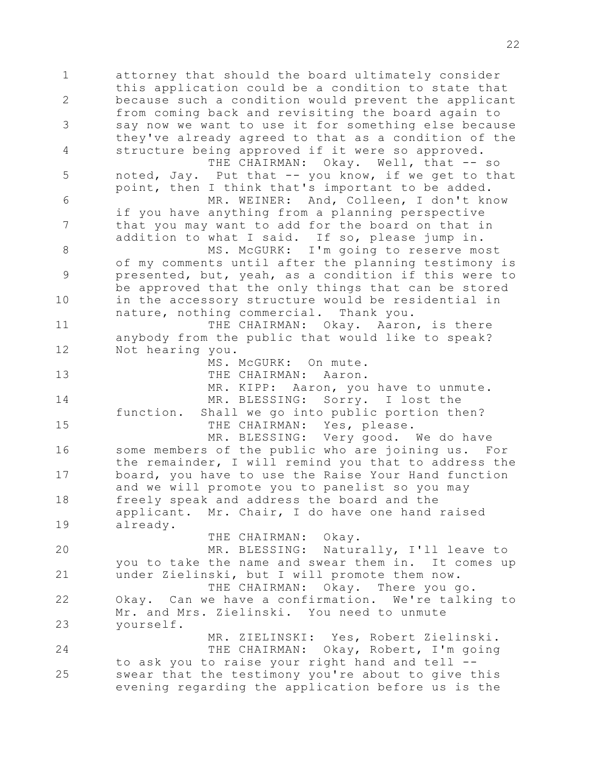1 2 3 4 5 6 7 8 9 10 11 12 13 14 15 16 17 18 19 20 21 22 23 24 25 attorney that should the board ultimately consider this application could be a condition to state that because such a condition would prevent the applicant from coming back and revisiting the board again to say now we want to use it for something else because they've already agreed to that as a condition of the structure being approved if it were so approved. THE CHAIRMAN: Okay. Well, that -- so noted, Jay. Put that -- you know, if we get to that point, then I think that's important to be added. MR. WEINER: And, Colleen, I don't know if you have anything from a planning perspective that you may want to add for the board on that in addition to what I said. If so, please jump in. MS. McGURK: I'm going to reserve most of my comments until after the planning testimony is presented, but, yeah, as a condition if this were to be approved that the only things that can be stored in the accessory structure would be residential in nature, nothing commercial. Thank you. THE CHAIRMAN: Okay. Aaron, is there anybody from the public that would like to speak? Not hearing you. MS. McGURK: On mute. THE CHAIRMAN: Aaron. MR. KIPP: Aaron, you have to unmute. MR. BLESSING: Sorry. I lost the function. Shall we go into public portion then? THE CHAIRMAN: Yes, please. MR. BLESSING: Very good. We do have some members of the public who are joining us. For the remainder, I will remind you that to address the board, you have to use the Raise Your Hand function and we will promote you to panelist so you may freely speak and address the board and the applicant. Mr. Chair, I do have one hand raised already. THE CHAIRMAN: Okay. MR. BLESSING: Naturally, I'll leave to you to take the name and swear them in. It comes up under Zielinski, but I will promote them now. THE CHAIRMAN: Okay. There you go. Okay. Can we have a confirmation. We're talking to Mr. and Mrs. Zielinski. You need to unmute yourself. MR. ZIELINSKI: Yes, Robert Zielinski. THE CHAIRMAN: Okay, Robert, I'm going to ask you to raise your right hand and tell - swear that the testimony you're about to give this evening regarding the application before us is the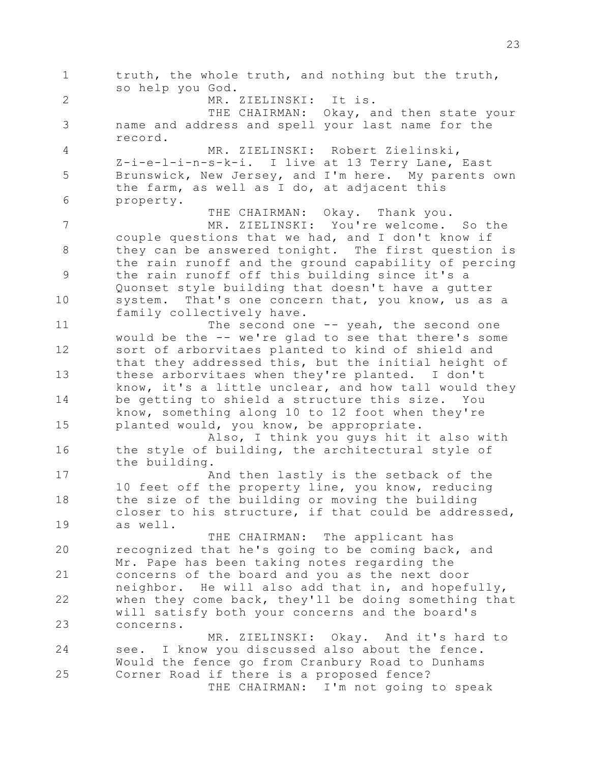1 2 3 4 5 6 7 8 9 10 11 12 13 14 15 16 17 18 19 20 21 22 23 24 25 truth, the whole truth, and nothing but the truth, so help you God. MR. ZIELINSKI: It is. THE CHAIRMAN: Okay, and then state your name and address and spell your last name for the record. MR. ZIELINSKI: Robert Zielinski, Z-i-e-l-i-n-s-k-i. I live at 13 Terry Lane, East Brunswick, New Jersey, and I'm here. My parents own the farm, as well as I do, at adjacent this property. THE CHAIRMAN: Okay. Thank you. MR. ZIELINSKI: You're welcome. So the couple questions that we had, and I don't know if they can be answered tonight. The first question is the rain runoff and the ground capability of percing the rain runoff off this building since it's a Quonset style building that doesn't have a gutter system. That's one concern that, you know, us as a family collectively have. The second one -- yeah, the second one would be the -- we're glad to see that there's some sort of arborvitaes planted to kind of shield and that they addressed this, but the initial height of these arborvitaes when they're planted. I don't know, it's a little unclear, and how tall would they be getting to shield a structure this size. You know, something along 10 to 12 foot when they're planted would, you know, be appropriate. Also, I think you guys hit it also with the style of building, the architectural style of the building. And then lastly is the setback of the 10 feet off the property line, you know, reducing the size of the building or moving the building closer to his structure, if that could be addressed, as well. THE CHAIRMAN: The applicant has recognized that he's going to be coming back, and Mr. Pape has been taking notes regarding the concerns of the board and you as the next door neighbor. He will also add that in, and hopefully, when they come back, they'll be doing something that will satisfy both your concerns and the board's concerns. MR. ZIELINSKI: Okay. And it's hard to see. I know you discussed also about the fence. Would the fence go from Cranbury Road to Dunhams Corner Road if there is a proposed fence? THE CHAIRMAN: I'm not going to speak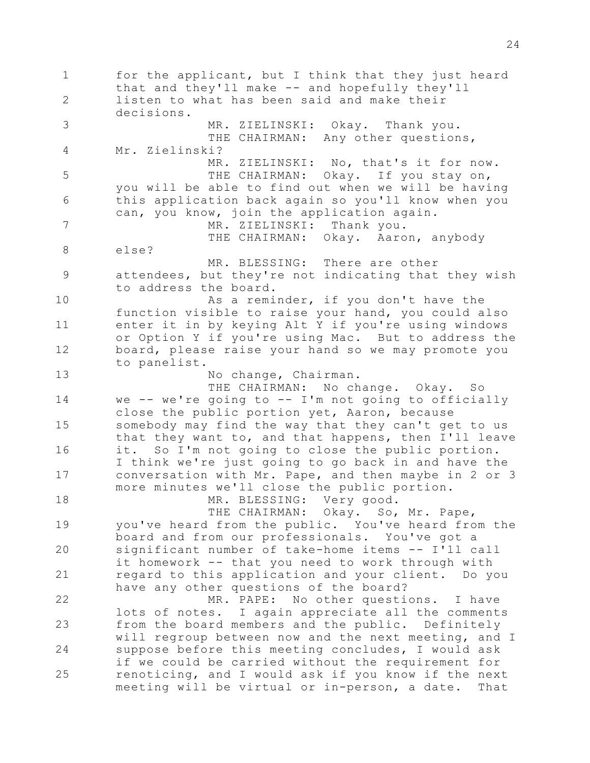1 2 3 4 5 6 7 8 9 10 11 12 13 14 15 16 17 18 19 20 21 22 23 24 25 for the applicant, but I think that they just heard that and they'll make -- and hopefully they'll listen to what has been said and make their decisions. MR. ZIELINSKI: Okay. Thank you. THE CHAIRMAN: Any other questions, Mr. Zielinski? MR. ZIELINSKI: No, that's it for now. THE CHAIRMAN: Okay. If you stay on, you will be able to find out when we will be having this application back again so you'll know when you can, you know, join the application again. MR. ZIELINSKI: Thank you. THE CHAIRMAN: Okay. Aaron, anybody else? MR. BLESSING: There are other attendees, but they're not indicating that they wish to address the board. As a reminder, if you don't have the function visible to raise your hand, you could also enter it in by keying Alt Y if you're using windows or Option Y if you're using Mac. But to address the board, please raise your hand so we may promote you to panelist. No change, Chairman. THE CHAIRMAN: No change. Okay. So we  $--$  we're going to  $--$  I'm not going to officially close the public portion yet, Aaron, because somebody may find the way that they can't get to us that they want to, and that happens, then I'll leave it. So I'm not going to close the public portion. I think we're just going to go back in and have the conversation with Mr. Pape, and then maybe in 2 or 3 more minutes we'll close the public portion. MR. BLESSING: Very good. THE CHAIRMAN: Okay. So, Mr. Pape, you've heard from the public. You've heard from the board and from our professionals. You've got a significant number of take-home items -- I'll call it homework -- that you need to work through with regard to this application and your client. Do you have any other questions of the board? MR. PAPE: No other questions. I have lots of notes. I again appreciate all the comments from the board members and the public. Definitely will regroup between now and the next meeting, and I suppose before this meeting concludes, I would ask if we could be carried without the requirement for renoticing, and I would ask if you know if the next meeting will be virtual or in-person, a date. That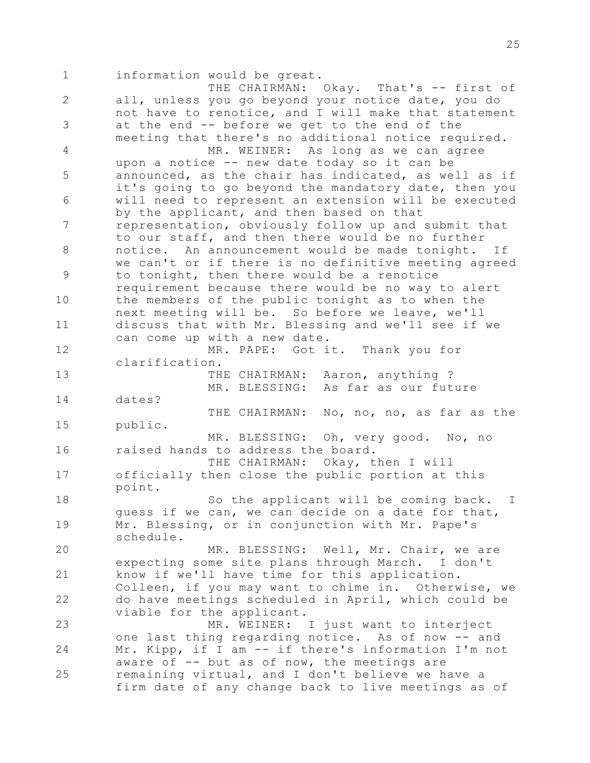1 2 3 4 5 6 7 8 9 10 11 12 13 14 15 16 17 18 19 20 21 22 23 24 25 information would be great. THE CHAIRMAN: Okay. That's -- first of all, unless you go beyond your notice date, you do not have to renotice, and I will make that statement at the end -- before we get to the end of the meeting that there's no additional notice required. MR. WEINER: As long as we can agree upon a notice -- new date today so it can be announced, as the chair has indicated, as well as if it's going to go beyond the mandatory date, then you will need to represent an extension will be executed by the applicant, and then based on that representation, obviously follow up and submit that to our staff, and then there would be no further notice. An announcement would be made tonight. If we can't or if there is no definitive meeting agreed to tonight, then there would be a renotice requirement because there would be no way to alert the members of the public tonight as to when the next meeting will be. So before we leave, we'll discuss that with Mr. Blessing and we'll see if we can come up with a new date. MR. PAPE: Got it. Thank you for clarification. THE CHAIRMAN: Aaron, anything ? MR. BLESSING: As far as our future dates? THE CHAIRMAN: No, no, no, as far as the public. MR. BLESSING: Oh, very good. No, no raised hands to address the board. THE CHAIRMAN: Okay, then I will officially then close the public portion at this point. So the applicant will be coming back. I guess if we can, we can decide on a date for that, Mr. Blessing, or in conjunction with Mr. Pape's schedule. MR. BLESSING: Well, Mr. Chair, we are expecting some site plans through March. I don't know if we'll have time for this application. Colleen, if you may want to chime in. Otherwise, we do have meetings scheduled in April, which could be viable for the applicant. MR. WEINER: I just want to interject one last thing regarding notice. As of now -- and Mr. Kipp, if I am -- if there's information I'm not aware of  $-$  but as of now, the meetings are remaining virtual, and I don't believe we have a firm date of any change back to live meetings as of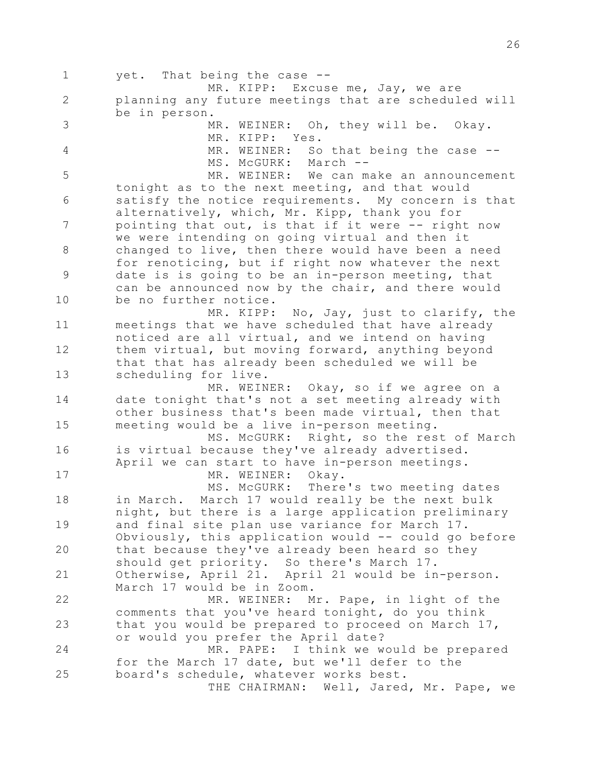1 2 3 4 5 6 7 8 9 10 11 12 13 14 15 16 17 18 19 20 21 22 23 24 25 yet. That being the case -- MR. KIPP: Excuse me, Jay, we are planning any future meetings that are scheduled will be in person. MR. WEINER: Oh, they will be. Okay. MR. KIPP: Yes. MR. WEINER: So that being the case --MS. McGURK: March -- MR. WEINER: We can make an announcement tonight as to the next meeting, and that would satisfy the notice requirements. My concern is that alternatively, which, Mr. Kipp, thank you for pointing that out, is that if it were -- right now we were intending on going virtual and then it changed to live, then there would have been a need for renoticing, but if right now whatever the next date is is going to be an in-person meeting, that can be announced now by the chair, and there would be no further notice. MR. KIPP: No, Jay, just to clarify, the meetings that we have scheduled that have already noticed are all virtual, and we intend on having them virtual, but moving forward, anything beyond that that has already been scheduled we will be scheduling for live. MR. WEINER: Okay, so if we agree on a date tonight that's not a set meeting already with other business that's been made virtual, then that meeting would be a live in-person meeting. MS. McGURK: Right, so the rest of March is virtual because they've already advertised. April we can start to have in-person meetings. MR. WEINER: Okay. MS. McGURK: There's two meeting dates in March. March 17 would really be the next bulk night, but there is a large application preliminary and final site plan use variance for March 17. Obviously, this application would -- could go before that because they've already been heard so they should get priority. So there's March 17. Otherwise, April 21. April 21 would be in-person. March 17 would be in Zoom. MR. WEINER: Mr. Pape, in light of the comments that you've heard tonight, do you think that you would be prepared to proceed on March 17, or would you prefer the April date? MR. PAPE: I think we would be prepared for the March 17 date, but we'll defer to the board's schedule, whatever works best. THE CHAIRMAN: Well, Jared, Mr. Pape, we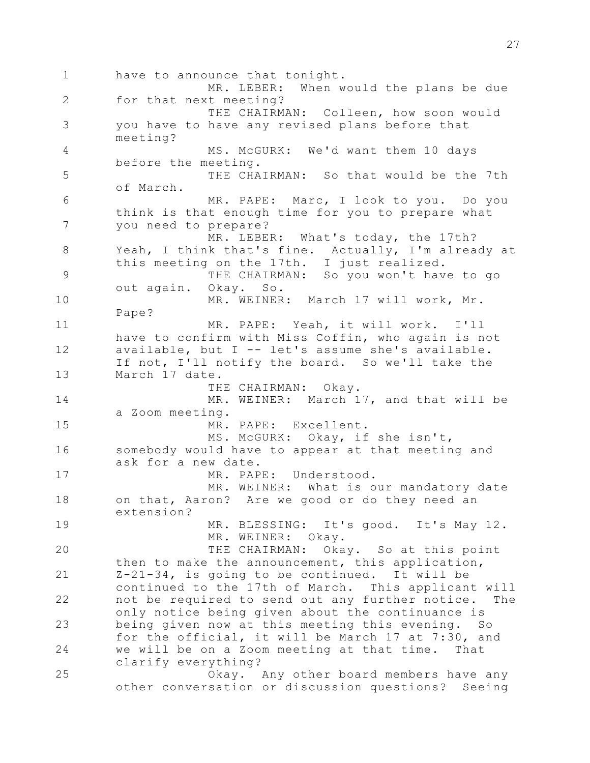1 2 3 4 5 6 7 8 9 10 11 12 13 14 15 16 17 18 19 20 21 22 23 24 25 have to announce that tonight. MR. LEBER: When would the plans be due for that next meeting? THE CHAIRMAN: Colleen, how soon would you have to have any revised plans before that meeting? MS. McGURK: We'd want them 10 days before the meeting. THE CHAIRMAN: So that would be the 7th of March. MR. PAPE: Marc, I look to you. Do you think is that enough time for you to prepare what you need to prepare? MR. LEBER: What's today, the 17th? Yeah, I think that's fine. Actually, I'm already at this meeting on the 17th. I just realized. THE CHAIRMAN: So you won't have to go out again. Okay. So. MR. WEINER: March 17 will work, Mr. Pape? MR. PAPE: Yeah, it will work. I'll have to confirm with Miss Coffin, who again is not available, but I -- let's assume she's available. If not, I'll notify the board. So we'll take the March 17 date. THE CHAIRMAN: Okay. MR. WEINER: March 17, and that will be a Zoom meeting. MR. PAPE: Excellent. MS. McGURK: Okay, if she isn't, somebody would have to appear at that meeting and ask for a new date. MR. PAPE: Understood. MR. WEINER: What is our mandatory date on that, Aaron? Are we good or do they need an extension? MR. BLESSING: It's good. It's May 12. MR. WEINER: Okay. THE CHAIRMAN: Okay. So at this point then to make the announcement, this application, Z-21-34, is going to be continued. It will be continued to the 17th of March. This applicant will not be required to send out any further notice. The only notice being given about the continuance is being given now at this meeting this evening. So for the official, it will be March 17 at 7:30, and we will be on a Zoom meeting at that time. That clarify everything? Okay. Any other board members have any other conversation or discussion questions? Seeing